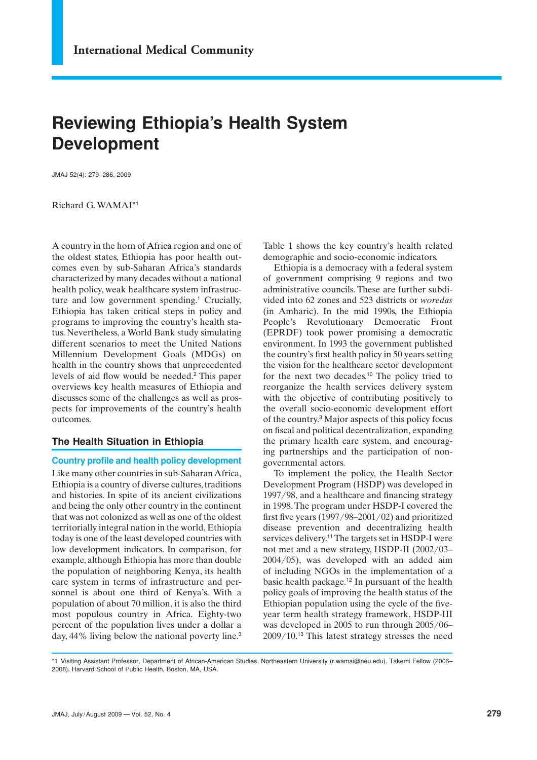# **Reviewing Ethiopia's Health System Development**

JMAJ 52(4): 279–286, 2009

Richard G. WAMAI\*1

A country in the horn of Africa region and one of the oldest states, Ethiopia has poor health outcomes even by sub-Saharan Africa's standards characterized by many decades without a national health policy, weak healthcare system infrastructure and low government spending.<sup>1</sup> Crucially, Ethiopia has taken critical steps in policy and programs to improving the country's health status. Nevertheless, a World Bank study simulating different scenarios to meet the United Nations Millennium Development Goals (MDGs) on health in the country shows that unprecedented levels of aid flow would be needed.<sup>2</sup> This paper overviews key health measures of Ethiopia and discusses some of the challenges as well as prospects for improvements of the country's health outcomes.

# **The Health Situation in Ethiopia**

## **Country profile and health policy development**

Like many other countries in sub-Saharan Africa, Ethiopia is a country of diverse cultures, traditions and histories. In spite of its ancient civilizations and being the only other country in the continent that was not colonized as well as one of the oldest territorially integral nation in the world, Ethiopia today is one of the least developed countries with low development indicators. In comparison, for example, although Ethiopia has more than double the population of neighboring Kenya, its health care system in terms of infrastructure and personnel is about one third of Kenya's. With a population of about 70 million, it is also the third most populous country in Africa. Eighty-two percent of the population lives under a dollar a day, 44% living below the national poverty line.3

Table 1 shows the key country's health related demographic and socio-economic indicators.

Ethiopia is a democracy with a federal system of government comprising 9 regions and two administrative councils. These are further subdivided into 62 zones and 523 districts or *woredas* (in Amharic). In the mid 1990s, the Ethiopia People's Revolutionary Democratic Front (EPRDF) took power promising a democratic environment. In 1993 the government published the country's first health policy in 50 years setting the vision for the healthcare sector development for the next two decades.<sup>10</sup> The policy tried to reorganize the health services delivery system with the objective of contributing positively to the overall socio-economic development effort of the country.<sup>3</sup> Major aspects of this policy focus on fiscal and political decentralization, expanding the primary health care system, and encouraging partnerships and the participation of nongovernmental actors.

To implement the policy, the Health Sector Development Program (HSDP) was developed in 1997/98, and a healthcare and financing strategy in 1998. The program under HSDP-I covered the first five years (1997/98–2001/02) and prioritized disease prevention and decentralizing health services delivery.<sup>11</sup> The targets set in HSDP-I were not met and a new strategy, HSDP-II (2002/03– 2004/05), was developed with an added aim of including NGOs in the implementation of a basic health package.<sup>12</sup> In pursuant of the health policy goals of improving the health status of the Ethiopian population using the cycle of the fiveyear term health strategy framework, HSDP-III was developed in 2005 to run through 2005/06– 2009/10.<sup>13</sup> This latest strategy stresses the need

\*1 Visiting Assistant Professor, Department of African-American Studies, Northeastern University (r.wamai@neu.edu). Takemi Fellow (2006– 2008), Harvard School of Public Health, Boston, MA, USA.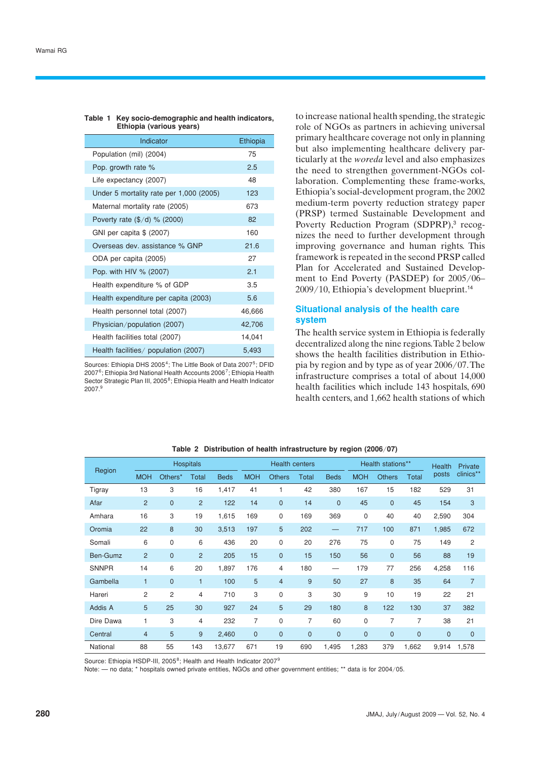#### **Table 1 Key socio-demographic and health indicators, Ethiopia (various years)**

| Indicator                               | Ethiopia |
|-----------------------------------------|----------|
| Population (mil) (2004)                 | 75       |
| Pop. growth rate %                      | 2.5      |
| Life expectancy (2007)                  | 48       |
| Under 5 mortality rate per 1,000 (2005) | 123      |
| Maternal mortality rate (2005)          | 673      |
| Poverty rate $(\frac{5}{d})$ % (2000)   | 82       |
| GNI per capita \$ (2007)                | 160      |
| Overseas dev. assistance % GNP          | 21.6     |
| ODA per capita (2005)                   | 27       |
| Pop. with HIV % (2007)                  | 2.1      |
| Health expenditure % of GDP             | 3.5      |
| Health expenditure per capita (2003)    | 5.6      |
| Health personnel total (2007)           | 46,666   |
| Physician/population (2007)             | 42,706   |
| Health facilities total (2007)          | 14,041   |
| Health facilities/ population (2007)    | 5,493    |

Sources: Ethiopia DHS 2005<sup>4</sup>; The Little Book of Data 2007<sup>5</sup>; DFID 20076; Ethiopia 3rd National Health Accounts 20067; Ethiopia Health Sector Strategic Plan III, 2005<sup>8</sup>; Ethiopia Health and Health Indicator 2007.<sup>9</sup>

to increase national health spending, the strategic role of NGOs as partners in achieving universal primary healthcare coverage not only in planning but also implementing healthcare delivery particularly at the *woreda* level and also emphasizes the need to strengthen government-NGOs collaboration. Complementing these frame-works, Ethiopia's social-development program, the 2002 medium-term poverty reduction strategy paper (PRSP) termed Sustainable Development and Poverty Reduction Program (SDPRP),<sup>3</sup> recognizes the need to further development through improving governance and human rights. This framework is repeated in the second PRSP called Plan for Accelerated and Sustained Development to End Poverty (PASDEP) for 2005/06– 2009/10, Ethiopia's development blueprint.<sup>14</sup>

# **Situational analysis of the health care system**

The health service system in Ethiopia is federally decentralized along the nine regions. Table 2 below shows the health facilities distribution in Ethiopia by region and by type as of year 2006/07. The infrastructure comprises a total of about 14,000 health facilities which include 143 hospitals, 690 health centers, and 1,662 health stations of which

|              | <b>Hospitals</b> |                |                | <b>Health centers</b> |              |                | Health stations** |              |              | <b>Health</b>  | Private      |              |                |
|--------------|------------------|----------------|----------------|-----------------------|--------------|----------------|-------------------|--------------|--------------|----------------|--------------|--------------|----------------|
| Region       | <b>MOH</b>       | Others*        | <b>Total</b>   | <b>Beds</b>           | <b>MOH</b>   | <b>Others</b>  | <b>Total</b>      | <b>Beds</b>  | <b>MOH</b>   | <b>Others</b>  | <b>Total</b> | posts        | clinics**      |
| Tigray       | 13               | 3              | 16             | 1,417                 | 41           | 1              | 42                | 380          | 167          | 15             | 182          | 529          | 31             |
| Afar         | $\overline{2}$   | $\mathbf 0$    | $\overline{2}$ | 122                   | 14           | $\mathbf 0$    | 14                | $\mathbf{0}$ | 45           | $\overline{0}$ | 45           | 154          | 3              |
| Amhara       | 16               | 3              | 19             | 1,615                 | 169          | 0              | 169               | 369          | 0            | 40             | 40           | 2,590        | 304            |
| Oromia       | 22               | 8              | 30             | 3,513                 | 197          | 5              | 202               |              | 717          | 100            | 871          | 1,985        | 672            |
| Somali       | 6                | 0              | 6              | 436                   | 20           | 0              | 20                | 276          | 75           | 0              | 75           | 149          | 2              |
| Ben-Gumz     | $\overline{2}$   | $\mathbf 0$    | $\overline{2}$ | 205                   | 15           | $\mathbf 0$    | 15                | 150          | 56           | $\overline{0}$ | 56           | 88           | 19             |
| <b>SNNPR</b> | 14               | 6              | 20             | 1,897                 | 176          | 4              | 180               |              | 179          | 77             | 256          | 4,258        | 116            |
| Gambella     | $\mathbf{1}$     | $\mathbf{0}$   | $\overline{1}$ | 100                   | 5            | $\overline{4}$ | 9                 | 50           | 27           | 8              | 35           | 64           | $\overline{7}$ |
| Hareri       | $\overline{2}$   | $\overline{c}$ | 4              | 710                   | 3            | 0              | 3                 | 30           | 9            | 10             | 19           | 22           | 21             |
| Addis A      | 5                | 25             | 30             | 927                   | 24           | 5              | 29                | 180          | 8            | 122            | 130          | 37           | 382            |
| Dire Dawa    | 1                | 3              | $\overline{4}$ | 232                   | 7            | 0              | 7                 | 60           | 0            | 7              | 7            | 38           | 21             |
| Central      | $\overline{4}$   | 5              | 9              | 2,460                 | $\mathbf{0}$ | $\mathbf 0$    | $\overline{0}$    | $\mathbf{0}$ | $\mathbf{0}$ | $\overline{0}$ | $\mathbf 0$  | $\mathbf{0}$ | $\mathbf 0$    |
| National     | 88               | 55             | 143            | 13,677                | 671          | 19             | 690               | 1,495        | 1,283        | 379            | 1,662        | 9,914        | 1,578          |

#### **Table 2 Distribution of health infrastructure by region (2006**/**07)**

Source: Ethiopia HSDP-III, 2005<sup>8</sup>; Health and Health Indicator 2007<sup>9</sup>

Note: — no data; \* hospitals owned private entities. NGOs and other government entities; \*\* data is for 2004/05.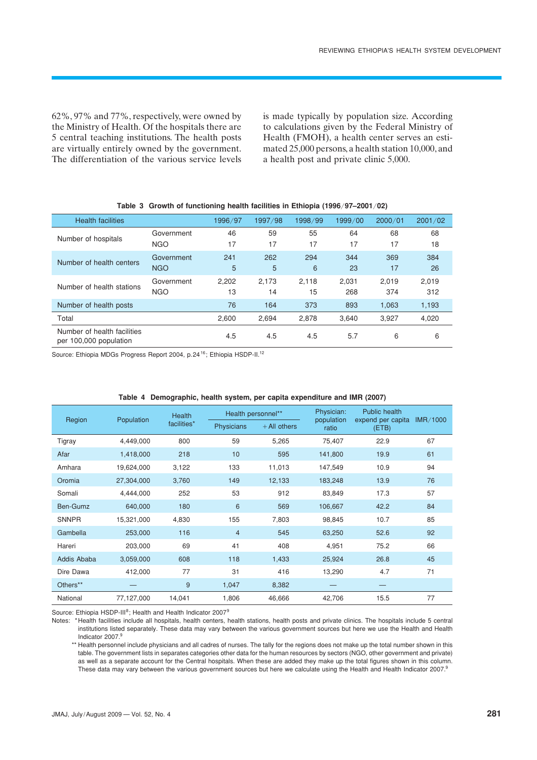62%, 97% and 77%, respectively, were owned by the Ministry of Health. Of the hospitals there are 5 central teaching institutions. The health posts are virtually entirely owned by the government. The differentiation of the various service levels is made typically by population size. According to calculations given by the Federal Ministry of Health (FMOH), a health center serves an estimated 25,000 persons, a health station 10,000, and a health post and private clinic 5,000.

| <b>Health facilities</b>                              |                          | 1996/97     | 1997/98     | 1998/99     | 1999/00      | 2000/01      | 2001/02      |
|-------------------------------------------------------|--------------------------|-------------|-------------|-------------|--------------|--------------|--------------|
| Number of hospitals                                   | Government<br><b>NGO</b> | 46<br>17    | 59<br>17    | 55<br>17    | 64<br>17     | 68<br>17     | 68<br>18     |
| Number of health centers                              | Government<br><b>NGO</b> | 241<br>5    | 262<br>5    | 294<br>6    | 344<br>23    | 369<br>17    | 384<br>26    |
| Number of health stations                             | Government<br><b>NGO</b> | 2.202<br>13 | 2.173<br>14 | 2.118<br>15 | 2.031<br>268 | 2.019<br>374 | 2,019<br>312 |
| Number of health posts                                |                          | 76          | 164         | 373         | 893          | 1,063        | 1,193        |
| Total                                                 |                          | 2,600       | 2,694       | 2,878       | 3,640        | 3,927        | 4,020        |
| Number of health facilities<br>per 100,000 population |                          | 4.5         | 4.5         | 4.5         | 5.7          | 6            | 6            |

|  |  | Table 3 Growth of functioning health facilities in Ethiopia (1996/97–2001/02) |  |  |  |  |  |  |
|--|--|-------------------------------------------------------------------------------|--|--|--|--|--|--|
|--|--|-------------------------------------------------------------------------------|--|--|--|--|--|--|

Source: Ethiopia MDGs Progress Report 2004, p. 24<sup>16</sup>; Ethiopia HSDP-II.<sup>12</sup>

|              |            | Health      | Health personnel** |                | Physician:          | Public health              |          |
|--------------|------------|-------------|--------------------|----------------|---------------------|----------------------------|----------|
| Region       | Population | facilities* | Physicians         | $+$ All others | population<br>ratio | expend per capita<br>(ETB) | IMR/1000 |
| Tigray       | 4,449,000  | 800         | 59                 | 5,265          | 75,407              | 22.9                       | 67       |
| Afar         | 1,418,000  | 218         | 10                 | 595            | 141,800             | 19.9                       | 61       |
| Amhara       | 19,624,000 | 3,122       | 133                | 11,013         | 147,549             | 10.9                       | 94       |
| Oromia       | 27,304,000 | 3,760       | 149                | 12,133         | 183,248             | 13.9                       | 76       |
| Somali       | 4,444,000  | 252         | 53                 | 912            | 83,849              | 17.3                       | 57       |
| Ben-Gumz     | 640,000    | 180         | 6                  | 569            | 106,667             | 42.2                       | 84       |
| <b>SNNPR</b> | 15,321,000 | 4,830       | 155                | 7,803          | 98,845              | 10.7                       | 85       |
| Gambella     | 253,000    | 116         | $\overline{4}$     | 545            | 63,250              | 52.6                       | 92       |
| Hareri       | 203,000    | 69          | 41                 | 408            | 4,951               | 75.2                       | 66       |
| Addis Ababa  | 3,059,000  | 608         | 118                | 1,433          | 25,924              | 26.8                       | 45       |
| Dire Dawa    | 412,000    | 77          | 31                 | 416            | 13,290              | 4.7                        | 71       |
| Others**     |            | 9           | 1,047              | 8,382          |                     |                            |          |
| National     | 77,127,000 | 14,041      | 1,806              | 46,666         | 42,706              | 15.5                       | 77       |

#### **Table 4 Demographic, health system, per capita expenditure and IMR (2007)**

Source: Ethiopia HSDP-III<sup>8</sup>; Health and Health Indicator 2007<sup>9</sup>

Notes: \*Health facilities include all hospitals, health centers, health stations, health posts and private clinics. The hospitals include 5 central institutions listed separately. These data may vary between the various government sources but here we use the Health and Health Indicator 2007.9

\*\* Health personnel include physicians and all cadres of nurses. The tally for the regions does not make up the total number shown in this table. The government lists in separates categories other data for the human resources by sectors (NGO, other government and private) as well as a separate account for the Central hospitals. When these are added they make up the total figures shown in this column. These data may vary between the various government sources but here we calculate using the Health and Health Indicator 2007.<sup>9</sup>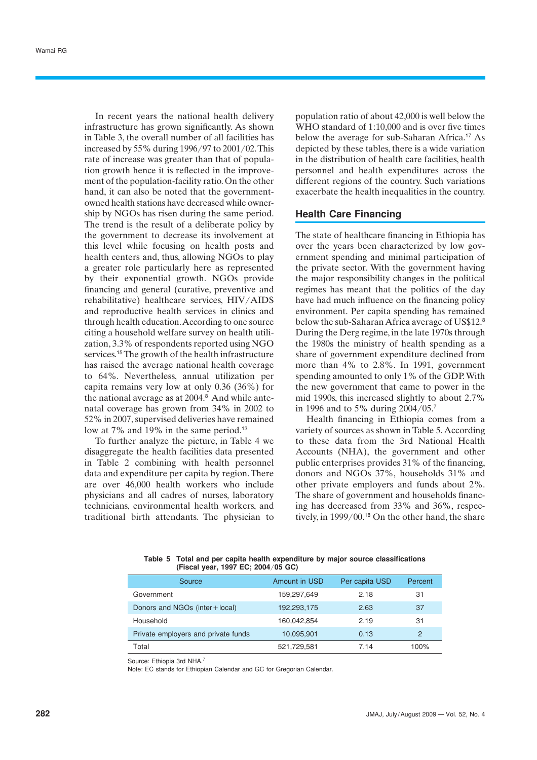In recent years the national health delivery infrastructure has grown significantly. As shown in Table 3, the overall number of all facilities has increased by 55% during 1996/97 to 2001/02. This rate of increase was greater than that of population growth hence it is reflected in the improvement of the population-facility ratio. On the other hand, it can also be noted that the governmentowned health stations have decreased while ownership by NGOs has risen during the same period. The trend is the result of a deliberate policy by the government to decrease its involvement at this level while focusing on health posts and health centers and, thus, allowing NGOs to play a greater role particularly here as represented by their exponential growth. NGOs provide financing and general (curative, preventive and rehabilitative) healthcare services, HIV/AIDS and reproductive health services in clinics and through health education. According to one source citing a household welfare survey on health utilization, 3.3% of respondents reported using NGO services.<sup>15</sup>The growth of the health infrastructure has raised the average national health coverage to 64%. Nevertheless, annual utilization per capita remains very low at only 0.36 (36%) for the national average as at 2004.<sup>8</sup> And while antenatal coverage has grown from 34% in 2002 to 52% in 2007, supervised deliveries have remained low at 7% and 19% in the same period.<sup>13</sup>

To further analyze the picture, in Table 4 we disaggregate the health facilities data presented in Table 2 combining with health personnel data and expenditure per capita by region. There are over 46,000 health workers who include physicians and all cadres of nurses, laboratory technicians, environmental health workers, and traditional birth attendants. The physician to population ratio of about 42,000 is well below the WHO standard of 1:10,000 and is over five times below the average for sub-Saharan Africa.<sup>17</sup> As depicted by these tables, there is a wide variation in the distribution of health care facilities, health personnel and health expenditures across the different regions of the country. Such variations exacerbate the health inequalities in the country.

## **Health Care Financing**

The state of healthcare financing in Ethiopia has over the years been characterized by low government spending and minimal participation of the private sector. With the government having the major responsibility changes in the political regimes has meant that the politics of the day have had much influence on the financing policy environment. Per capita spending has remained below the sub-Saharan Africa average of US\$12.<sup>8</sup> During the Derg regime, in the late 1970s through the 1980s the ministry of health spending as a share of government expenditure declined from more than 4% to 2.8%. In 1991, government spending amounted to only 1% of the GDP. With the new government that came to power in the mid 1990s, this increased slightly to about 2.7% in 1996 and to 5% during 2004/05.<sup>7</sup>

Health financing in Ethiopia comes from a variety of sources as shown in Table 5. According to these data from the 3rd National Health Accounts (NHA), the government and other public enterprises provides 31% of the financing, donors and NGOs 37%, households 31% and other private employers and funds about 2%. The share of government and households financing has decreased from 33% and 36%, respectively, in 1999/00.<sup>18</sup> On the other hand, the share

| Source                              | <b>Amount in USD</b> | Per capita USD | Percent       |
|-------------------------------------|----------------------|----------------|---------------|
| Government                          | 159,297,649          | 2.18           | 31            |
| Donors and NGOs (inter + local)     | 192,293,175          | 2.63           | 37            |
| Household                           | 160.042.854          | 2.19           | 31            |
| Private employers and private funds | 10,095,901           | 0.13           | $\mathcal{P}$ |
| Total                               | 521,729,581          | 7.14           | 100%          |

**Table 5 Total and per capita health expenditure by major source classifications (Fiscal year, 1997 EC; 2004**/**05 GC)**

Source: Ethiopia 3rd NHA<sup>7</sup>

Note: EC stands for Ethiopian Calendar and GC for Gregorian Calendar.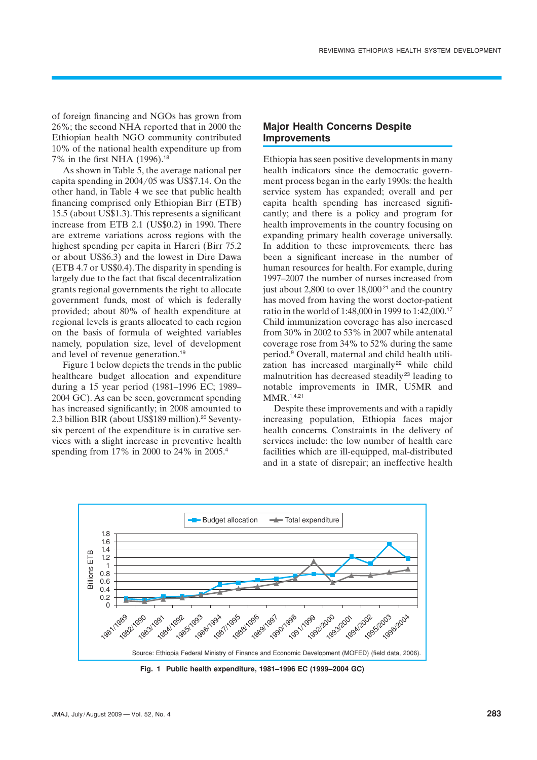of foreign financing and NGOs has grown from 26%; the second NHA reported that in 2000 the Ethiopian health NGO community contributed 10% of the national health expenditure up from 7% in the first NHA (1996).<sup>18</sup>

As shown in Table 5, the average national per capita spending in 2004/05 was US\$7.14. On the other hand, in Table 4 we see that public health financing comprised only Ethiopian Birr (ETB) 15.5 (about US\$1.3). This represents a significant increase from ETB 2.1 (US\$0.2) in 1990. There are extreme variations across regions with the highest spending per capita in Hareri (Birr 75.2 or about US\$6.3) and the lowest in Dire Dawa (ETB 4.7 or US\$0.4). The disparity in spending is largely due to the fact that fiscal decentralization grants regional governments the right to allocate government funds, most of which is federally provided; about 80% of health expenditure at regional levels is grants allocated to each region on the basis of formula of weighted variables namely, population size, level of development and level of revenue generation.<sup>19</sup>

Figure 1 below depicts the trends in the public healthcare budget allocation and expenditure during a 15 year period (1981–1996 EC; 1989– 2004 GC). As can be seen, government spending has increased significantly; in 2008 amounted to 2.3 billion BIR (about US\$189 million).<sup>20</sup> Seventysix percent of the expenditure is in curative services with a slight increase in preventive health spending from 17% in 2000 to 24% in 2005.<sup>4</sup>

# **Major Health Concerns Despite Improvements**

Ethiopia has seen positive developments in many health indicators since the democratic government process began in the early 1990s: the health service system has expanded; overall and per capita health spending has increased significantly; and there is a policy and program for health improvements in the country focusing on expanding primary health coverage universally. In addition to these improvements, there has been a significant increase in the number of human resources for health. For example, during 1997–2007 the number of nurses increased from just about 2,800 to over  $18,000^{21}$  and the country has moved from having the worst doctor-patient ratio in the world of 1:48,000 in 1999 to 1:42,000.<sup>17</sup> Child immunization coverage has also increased from 30% in 2002 to 53% in 2007 while antenatal coverage rose from 34% to 52% during the same period.<sup>9</sup> Overall, maternal and child health utilization has increased marginally<sup>22</sup> while child malnutrition has decreased steadily<sup>23</sup> leading to notable improvements in IMR, U5MR and MMR.1,4,21

Despite these improvements and with a rapidly increasing population, Ethiopia faces major health concerns. Constraints in the delivery of services include: the low number of health care facilities which are ill-equipped, mal-distributed and in a state of disrepair; an ineffective health



**Fig. 1 Public health expenditure, 1981–1996 EC (1999–2004 GC)**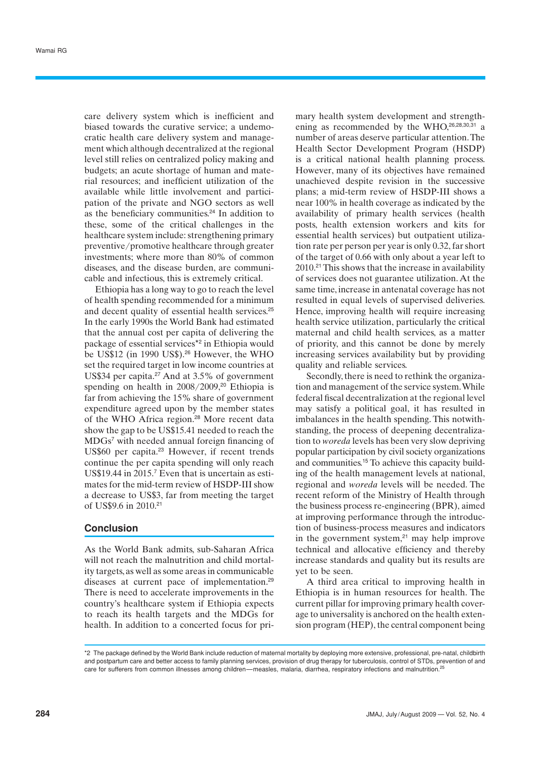care delivery system which is inefficient and biased towards the curative service; a undemocratic health care delivery system and management which although decentralized at the regional level still relies on centralized policy making and budgets; an acute shortage of human and material resources; and inefficient utilization of the available while little involvement and participation of the private and NGO sectors as well as the beneficiary communities.<sup>24</sup> In addition to these, some of the critical challenges in the healthcare system include: strengthening primary preventive/promotive healthcare through greater investments; where more than 80% of common diseases, and the disease burden, are communicable and infectious, this is extremely critical.

Ethiopia has a long way to go to reach the level of health spending recommended for a minimum and decent quality of essential health services.<sup>25</sup> In the early 1990s the World Bank had estimated that the annual cost per capita of delivering the package of essential services\*2 in Ethiopia would be US\$12 (in 1990 US\$).<sup>26</sup> However, the WHO set the required target in low income countries at US\$34 per capita.<sup>27</sup> And at 3.5% of government spending on health in 2008/2009,<sup>20</sup> Ethiopia is far from achieving the 15% share of government expenditure agreed upon by the member states of the WHO Africa region.<sup>28</sup> More recent data show the gap to be US\$15.41 needed to reach the MDGs<sup>7</sup> with needed annual foreign financing of US\$60 per capita.<sup>23</sup> However, if recent trends continue the per capita spending will only reach US\$19.44 in 2015.<sup>7</sup> Even that is uncertain as estimates for the mid-term review of HSDP-III show a decrease to US\$3, far from meeting the target of US\$9.6 in 2010.<sup>21</sup>

### **Conclusion**

As the World Bank admits, sub-Saharan Africa will not reach the malnutrition and child mortality targets, as well as some areas in communicable diseases at current pace of implementation.<sup>29</sup> There is need to accelerate improvements in the country's healthcare system if Ethiopia expects to reach its health targets and the MDGs for health. In addition to a concerted focus for primary health system development and strengthening as recommended by the  $WHO<sub>,26,28,30,31</sub>$  a number of areas deserve particular attention. The Health Sector Development Program (HSDP) is a critical national health planning process. However, many of its objectives have remained unachieved despite revision in the successive plans; a mid-term review of HSDP-III shows a near 100% in health coverage as indicated by the availability of primary health services (health posts, health extension workers and kits for essential health services) but outpatient utilization rate per person per year is only 0.32, far short of the target of 0.66 with only about a year left to  $2010<sup>21</sup>$  This shows that the increase in availability of services does not guarantee utilization. At the same time, increase in antenatal coverage has not resulted in equal levels of supervised deliveries. Hence, improving health will require increasing health service utilization, particularly the critical maternal and child health services, as a matter of priority, and this cannot be done by merely increasing services availability but by providing quality and reliable services.

Secondly, there is need to rethink the organization and management of the service system. While federal fiscal decentralization at the regional level may satisfy a political goal, it has resulted in imbalances in the health spending. This notwithstanding, the process of deepening decentralization to *woreda* levels has been very slow depriving popular participation by civil society organizations and communities.<sup>15</sup> To achieve this capacity building of the health management levels at national, regional and *woreda* levels will be needed. The recent reform of the Ministry of Health through the business process re-engineering (BPR), aimed at improving performance through the introduction of business-process measures and indicators in the government system, $21$  may help improve technical and allocative efficiency and thereby increase standards and quality but its results are yet to be seen.

A third area critical to improving health in Ethiopia is in human resources for health. The current pillar for improving primary health coverage to universality is anchored on the health extension program (HEP), the central component being

<sup>\*2</sup> The package defined by the World Bank include reduction of maternal mortality by deploying more extensive, professional, pre-natal, childbirth and postpartum care and better access to family planning services, provision of drug therapy for tuberculosis, control of STDs, prevention of and care for sufferers from common illnesses among children—measles, malaria, diarrhea, respiratory infections and malnutrition.<sup>25</sup>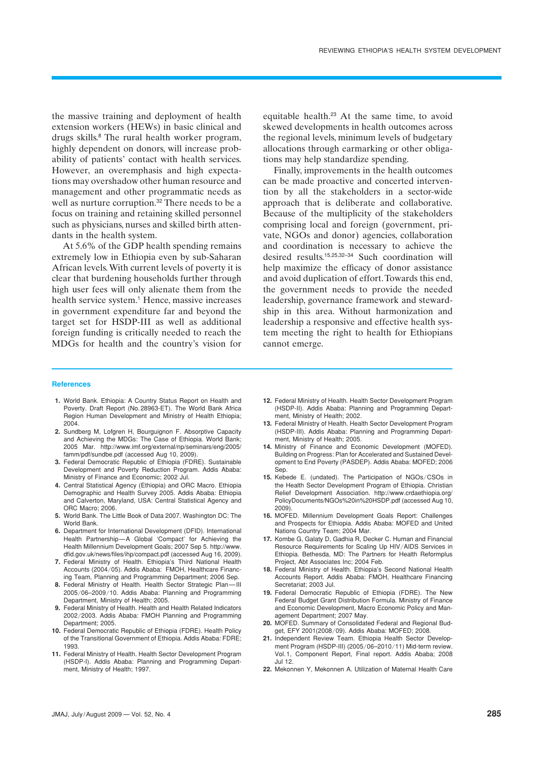the massive training and deployment of health extension workers (HEWs) in basic clinical and drugs skills.<sup>8</sup> The rural health worker program, highly dependent on donors, will increase probability of patients' contact with health services. However, an overemphasis and high expectations may overshadow other human resource and management and other programmatic needs as well as nurture corruption.<sup>32</sup> There needs to be a focus on training and retaining skilled personnel such as physicians, nurses and skilled birth attendants in the health system.

At 5.6% of the GDP health spending remains extremely low in Ethiopia even by sub-Saharan African levels. With current levels of poverty it is clear that burdening households further through high user fees will only alienate them from the health service system.<sup>1</sup> Hence, massive increases in government expenditure far and beyond the target set for HSDP-III as well as additional foreign funding is critically needed to reach the MDGs for health and the country's vision for

equitable health.<sup>23</sup> At the same time, to avoid skewed developments in health outcomes across the regional levels, minimum levels of budgetary allocations through earmarking or other obligations may help standardize spending.

Finally, improvements in the health outcomes can be made proactive and concerted intervention by all the stakeholders in a sector-wide approach that is deliberate and collaborative. Because of the multiplicity of the stakeholders comprising local and foreign (government, private, NGOs and donor) agencies, collaboration and coordination is necessary to achieve the desired results.15,25,32–34 Such coordination will help maximize the efficacy of donor assistance and avoid duplication of effort. Towards this end, the government needs to provide the needed leadership, governance framework and stewardship in this area. Without harmonization and leadership a responsive and effective health system meeting the right to health for Ethiopians cannot emerge.

#### **References**

- **1.** World Bank. Ethiopia: A Country Status Report on Health and Poverty. Draft Report (No.28963-ET). The World Bank Africa Region Human Development and Ministry of Health Ethiopia; 2004.
- **2.** Sundberg M, Lofgren H, Bourguignon F. Absorptive Capacity and Achieving the MDGs: The Case of Ethiopia. World Bank; 2005 Mar. http://www.imf.org/external/np/seminars/eng/2005/ famm/pdf/sundbe.pdf (accessed Aug 10, 2009).
- **3.** Federal Democratic Republic of Ethiopia (FDRE). Sustainable Development and Poverty Reduction Program. Addis Ababa: Ministry of Finance and Economic; 2002 Jul.
- **4.** Central Statistical Agency (Ethiopia) and ORC Macro. Ethiopia Demographic and Health Survey 2005. Addis Ababa: Ethiopia and Calverton, Maryland, USA: Central Statistical Agency and ORC Macro; 2006.
- **5.** World Bank. The Little Book of Data 2007. Washington DC: The World Bank.
- **6.** Department for International Development (DFID). International Health Partnership—A Global 'Compact' for Achieving the Health Millennium Development Goals; 2007 Sep 5. http://www. dfid.gov.uk/news/files/ihp/compact.pdf (accessed Aug 16, 2009).
- **7.** Federal Ministry of Health. Ethiopia's Third National Health Accounts (2004/05). Addis Ababa: FMOH, Healthcare Financing Team, Planning and Programming Department; 2006 Sep.
- **8.** Federal Ministry of Health. Health Sector Strategic Plan—III 2005/06–2009/10. Addis Ababa: Planning and Programming Department, Ministry of Health; 2005.
- **9.** Federal Ministry of Health. Health and Health Related Indicators 2002/2003. Addis Ababa: FMOH Planning and Programming Department: 2005
- **10.** Federal Democratic Republic of Ethiopia (FDRE). Health Policy of the Transitional Government of Ethiopia. Addis Ababa: FDRE; 1993.
- **11.** Federal Ministry of Health. Health Sector Development Program (HSDP-I). Addis Ababa: Planning and Programming Department, Ministry of Health; 1997.
- **12.** Federal Ministry of Health. Health Sector Development Program (HSDP-II). Addis Ababa: Planning and Programming Department, Ministry of Health; 2002.
- **13.** Federal Ministry of Health. Health Sector Development Program (HSDP-III). Addis Ababa: Planning and Programming Department, Ministry of Health; 2005.
- **14.** Ministry of Finance and Economic Development (MOFED). Building on Progress: Plan for Accelerated and Sustained Development to End Poverty (PASDEP). Addis Ababa: MOFED; 2006 Sep.
- **15.** Kebede E. (undated). The Participation of NGOs/CSOs in the Health Sector Development Program of Ethiopia. Christian Relief Development Association. http://www.crdaethiopia.org/ PolicyDocuments/NGOs%20in%20HSDP.pdf (accessed Aug 10, 2009).
- **16.** MOFED. Millennium Development Goals Report: Challenges and Prospects for Ethiopia. Addis Ababa: MOFED and United Nations Country Team; 2004 Mar.
- **17.** Kombe G, Galaty D, Gadhia R, Decker C. Human and Financial Resource Requirements for Scaling Up HIV/AIDS Services in Ethiopia. Bethesda, MD: The Partners for Health Reformplus Project, Abt Associates Inc; 2004 Feb.
- **18.** Federal Ministry of Health. Ethiopia's Second National Health Accounts Report. Addis Ababa: FMOH, Healthcare Financing Secretariat; 2003 Jul.
- **19.** Federal Democratic Republic of Ethiopia (FDRE). The New Federal Budget Grant Distribution Formula. Ministry of Finance and Economic Development, Macro Economic Policy and Management Department; 2007 May.
- **20.** MOFED. Summary of Consolidated Federal and Regional Budget, EFY 2001(2008/09). Addis Ababa: MOFED; 2008.
- **21.** Independent Review Team. Ethiopia Health Sector Development Program (HSDP-III) (2005/06–2010/11) Mid-term review. Vol.1, Component Report, Final report. Addis Ababa; 2008 Jul 12.
- **22.** Mekonnen Y, Mekonnen A. Utilization of Maternal Health Care